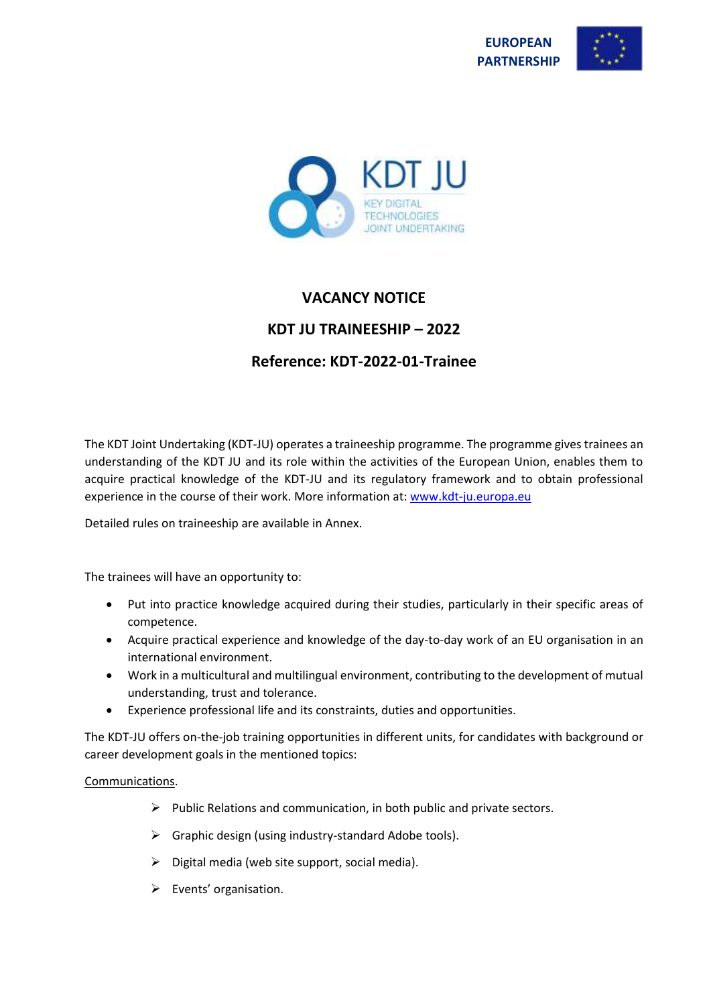





# **VACANCY NOTICE**

# **KDT JU TRAINEESHIP – 2022**

# **Reference: KDT-2022-01-Trainee**

The KDT Joint Undertaking (KDT-JU) operates a traineeship programme. The programme gives trainees an understanding of the KDT JU and its role within the activities of the European Union, enables them to acquire practical knowledge of the KDT-JU and its regulatory framework and to obtain professional experience in the course of their work. More information at[: www.kdt-ju.europa.eu](http://www.kdt-ju.europa.eu/)

Detailed rules on traineeship are available in Annex.

The trainees will have an opportunity to:

- Put into practice knowledge acquired during their studies, particularly in their specific areas of competence.
- Acquire practical experience and knowledge of the day-to-day work of an EU organisation in an international environment.
- Work in a multicultural and multilingual environment, contributing to the development of mutual understanding, trust and tolerance.
- Experience professional life and its constraints, duties and opportunities.

The KDT-JU offers on-the-job training opportunities in different units, for candidates with background or career development goals in the mentioned topics:

# Communications.

- $\triangleright$  Public Relations and communication, in both public and private sectors.
- $\triangleright$  Graphic design (using industry-standard Adobe tools).
- $\triangleright$  Digital media (web site support, social media).
- ➢ Events' organisation.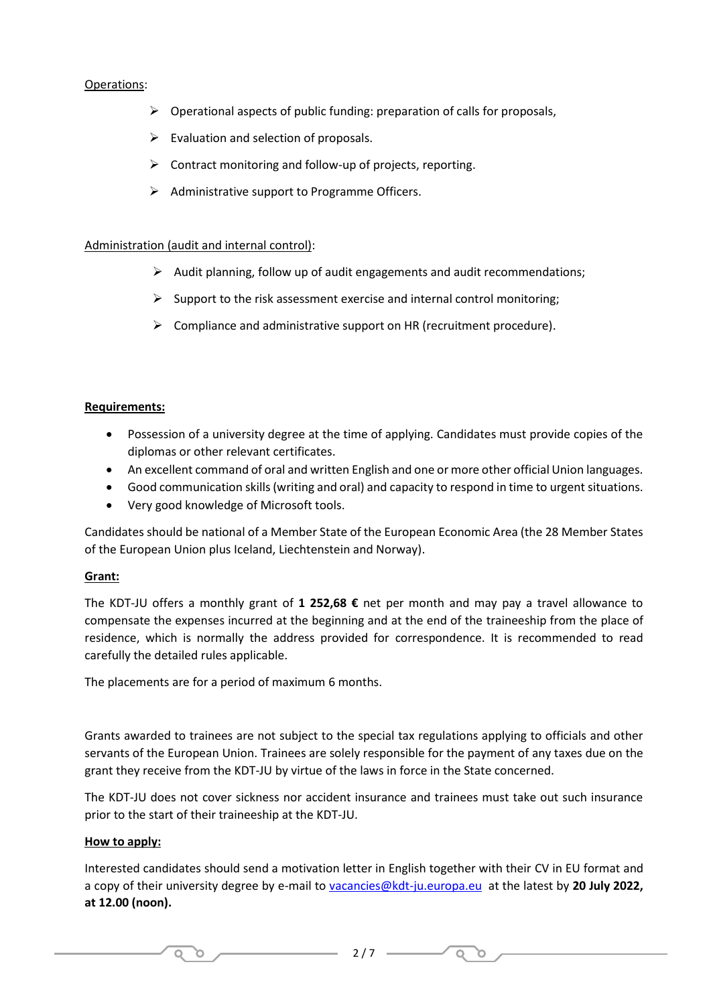## Operations:

- ➢ Operational aspects of public funding: preparation of calls for proposals,
- $\triangleright$  Evaluation and selection of proposals.
- ➢ Contract monitoring and follow-up of projects, reporting.
- $\triangleright$  Administrative support to Programme Officers.

#### Administration (audit and internal control):

- ➢ Audit planning, follow up of audit engagements and audit recommendations;
- $\triangleright$  Support to the risk assessment exercise and internal control monitoring;
- ➢ Compliance and administrative support on HR (recruitment procedure).

#### **Requirements:**

- Possession of a university degree at the time of applying. Candidates must provide copies of the diplomas or other relevant certificates.
- An excellent command of oral and written English and one or more other official Union languages.
- Good communication skills (writing and oral) and capacity to respond in time to urgent situations.
- Very good knowledge of Microsoft tools.

Candidates should be national of a Member State of the European Economic Area (the 28 Member States of the European Union plus Iceland, Liechtenstein and Norway).

#### **Grant:**

The KDT-JU offers a monthly grant of **1 252,68 €** net per month and may pay a travel allowance to compensate the expenses incurred at the beginning and at the end of the traineeship from the place of residence, which is normally the address provided for correspondence. It is recommended to read carefully the detailed rules applicable.

The placements are for a period of maximum 6 months.

O.

 $\circ$ 

Grants awarded to trainees are not subject to the special tax regulations applying to officials and other servants of the European Union. Trainees are solely responsible for the payment of any taxes due on the grant they receive from the KDT-JU by virtue of the laws in force in the State concerned.

The KDT-JU does not cover sickness nor accident insurance and trainees must take out such insurance prior to the start of their traineeship at the KDT-JU.

#### **How to apply:**

Interested candidates should send a motivation letter in English together with their CV in EU format and a copy of their university degree by e-mail to [vacancies@kdt-ju.europa.eu](mailto:vacancies@kdt-ju.europa.eu) at the latest by **20 July 2022, at 12.00 (noon).** 

 $Q$   $Q$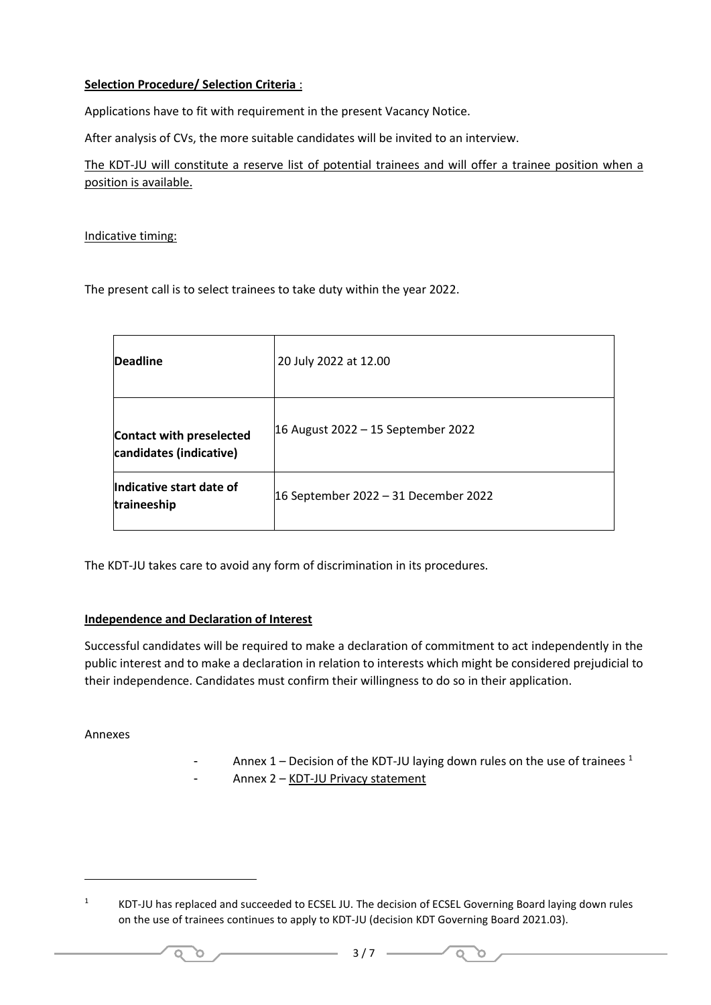# **Selection Procedure/ Selection Criteria** :

Applications have to fit with requirement in the present Vacancy Notice.

After analysis of CVs, the more suitable candidates will be invited to an interview.

The KDT-JU will constitute a reserve list of potential trainees and will offer a trainee position when a position is available.

Indicative timing:

The present call is to select trainees to take duty within the year 2022.

| <b>Deadline</b>                                            | 20 July 2022 at 12.00                |
|------------------------------------------------------------|--------------------------------------|
| <b>Contact with preselected</b><br>candidates (indicative) | 16 August 2022 – 15 September 2022   |
| Indicative start date of<br>traineeship                    | 16 September 2022 - 31 December 2022 |

The KDT-JU takes care to avoid any form of discrimination in its procedures.

# **Independence and Declaration of Interest**

 $\circ$ O.

Successful candidates will be required to make a declaration of commitment to act independently in the public interest and to make a declaration in relation to interests which might be considered prejudicial to their independence. Candidates must confirm their willingness to do so in their application.

Annexes

- Annex  $1$  – Decision of the KDT-JU laying down rules on the use of trainees  $1$ 

 $Q$ n.

- Annex 2 – KDT-JU Privacy statement

<sup>1</sup> KDT-JU has replaced and succeeded to ECSEL JU. The decision of ECSEL Governing Board laying down rules on the use of trainees continues to apply to KDT-JU (decision KDT Governing Board 2021.03).

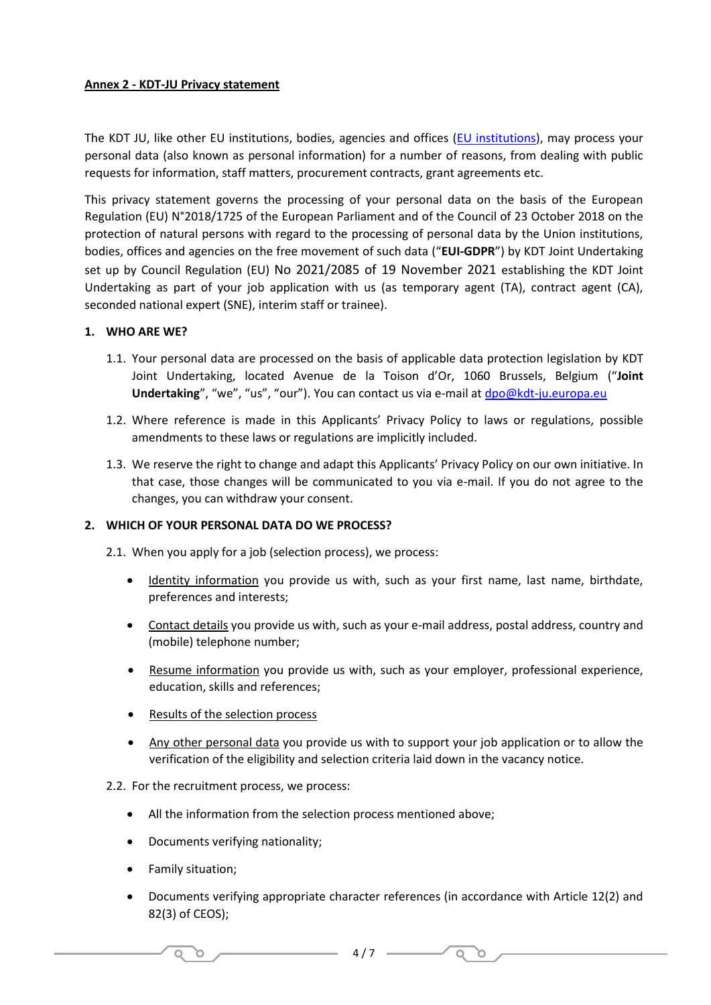# **Annex 2 - KDT-JU Privacy statement**

The KDT JU, like other EU institutions, bodies, agencies and offices [\(EU institutions\)](https://europa.eu/european-union/about-eu/institutions-bodies_en), may process your personal data (also known as personal information) for a number of reasons, from dealing with public requests for information, staff matters, procurement contracts, grant agreements etc.

This privacy statement governs the processing of your personal data on the basis of the European Regulation (EU) N°2018/1725 of the European Parliament and of the Council of 23 October 2018 on the protection of natural persons with regard to the processing of personal data by the Union institutions, bodies, offices and agencies on the free movement of such data ("**EUI-GDPR**") by KDT Joint Undertaking set up by Council Regulation (EU) No 2021/2085 of 19 November 2021 establishing the KDT Joint Undertaking as part of your job application with us (as temporary agent (TA), contract agent (CA), seconded national expert (SNE), interim staff or trainee).

#### **1. WHO ARE WE?**

- 1.1. Your personal data are processed on the basis of applicable data protection legislation by KDT Joint Undertaking, located Avenue de la Toison d'Or, 1060 Brussels, Belgium ("**Joint Undertaking**", "we", "us", "our"). You can contact us via e-mail at [dpo@kdt-ju.europa.eu](mailto:dpo@kdt-ju.europa.eu)
- 1.2. Where reference is made in this Applicants' Privacy Policy to laws or regulations, possible amendments to these laws or regulations are implicitly included.
- 1.3. We reserve the right to change and adapt this Applicants' Privacy Policy on our own initiative. In that case, those changes will be communicated to you via e-mail. If you do not agree to the changes, you can withdraw your consent.

#### **2. WHICH OF YOUR PERSONAL DATA DO WE PROCESS?**

2.1. When you apply for a job (selection process), we process:

- Identity information you provide us with, such as your first name, last name, birthdate, preferences and interests;
- Contact details you provide us with, such as your e-mail address, postal address, country and (mobile) telephone number;
- Resume information you provide us with, such as your employer, professional experience, education, skills and references;
- Results of the selection process
- Any other personal data you provide us with to support your job application or to allow the verification of the eligibility and selection criteria laid down in the vacancy notice.

#### 2.2. For the recruitment process, we process:

- All the information from the selection process mentioned above;
- Documents verifying nationality;
- Family situation;

 $\circ$ O.

• Documents verifying appropriate character references (in accordance with Article 12(2) and 82(3) of CEOS);

 $Q$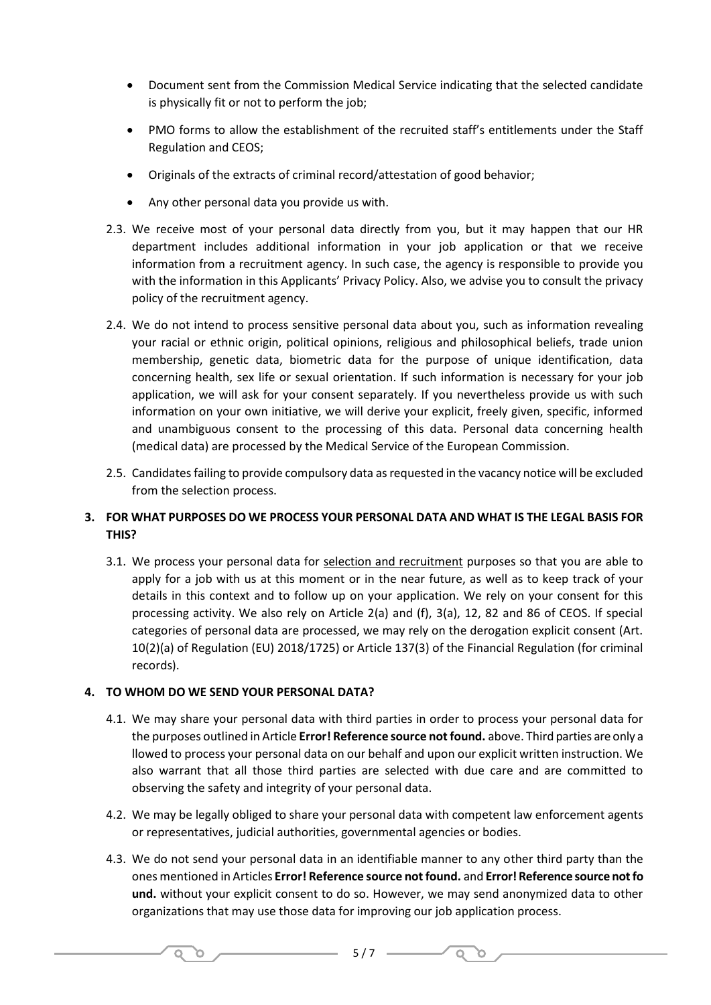- Document sent from the Commission Medical Service indicating that the selected candidate is physically fit or not to perform the job;
- PMO forms to allow the establishment of the recruited staff's entitlements under the Staff Regulation and CEOS;
- Originals of the extracts of criminal record/attestation of good behavior;
- Any other personal data you provide us with.
- 2.3. We receive most of your personal data directly from you, but it may happen that our HR department includes additional information in your job application or that we receive information from a recruitment agency. In such case, the agency is responsible to provide you with the information in this Applicants' Privacy Policy. Also, we advise you to consult the privacy policy of the recruitment agency.
- 2.4. We do not intend to process sensitive personal data about you, such as information revealing your racial or ethnic origin, political opinions, religious and philosophical beliefs, trade union membership, genetic data, biometric data for the purpose of unique identification, data concerning health, sex life or sexual orientation. If such information is necessary for your job application, we will ask for your consent separately. If you nevertheless provide us with such information on your own initiative, we will derive your explicit, freely given, specific, informed and unambiguous consent to the processing of this data. Personal data concerning health (medical data) are processed by the Medical Service of the European Commission.
- 2.5. Candidates failing to provide compulsory data as requested in the vacancy notice will be excluded from the selection process.

# **3. FOR WHAT PURPOSES DO WE PROCESS YOUR PERSONAL DATA AND WHAT IS THE LEGAL BASIS FOR THIS?**

3.1. We process your personal data for selection and recruitment purposes so that you are able to apply for a job with us at this moment or in the near future, as well as to keep track of your details in this context and to follow up on your application. We rely on your consent for this processing activity. We also rely on Article 2(a) and (f), 3(a), 12, 82 and 86 of CEOS. If special categories of personal data are processed, we may rely on the derogation explicit consent (Art. 10(2)(a) of Regulation (EU) 2018/1725) or Article 137(3) of the Financial Regulation (for criminal records).

# **4. TO WHOM DO WE SEND YOUR PERSONAL DATA?**

 $\circ$ O.

- 4.1. We may share your personal data with third parties in order to process your personal data for the purposes outlined in Article **Error! Reference source not found.** above. Third parties are only a llowed to process your personal data on our behalf and upon our explicit written instruction. We also warrant that all those third parties are selected with due care and are committed to observing the safety and integrity of your personal data.
- 4.2. We may be legally obliged to share your personal data with competent law enforcement agents or representatives, judicial authorities, governmental agencies or bodies.
- 4.3. We do not send your personal data in an identifiable manner to any other third party than the ones mentioned in Articles **Error! Reference source not found.** and **Error! Reference source not fo und.** without your explicit consent to do so. However, we may send anonymized data to other organizations that may use those data for improving our job application process.

 $\circ$ O.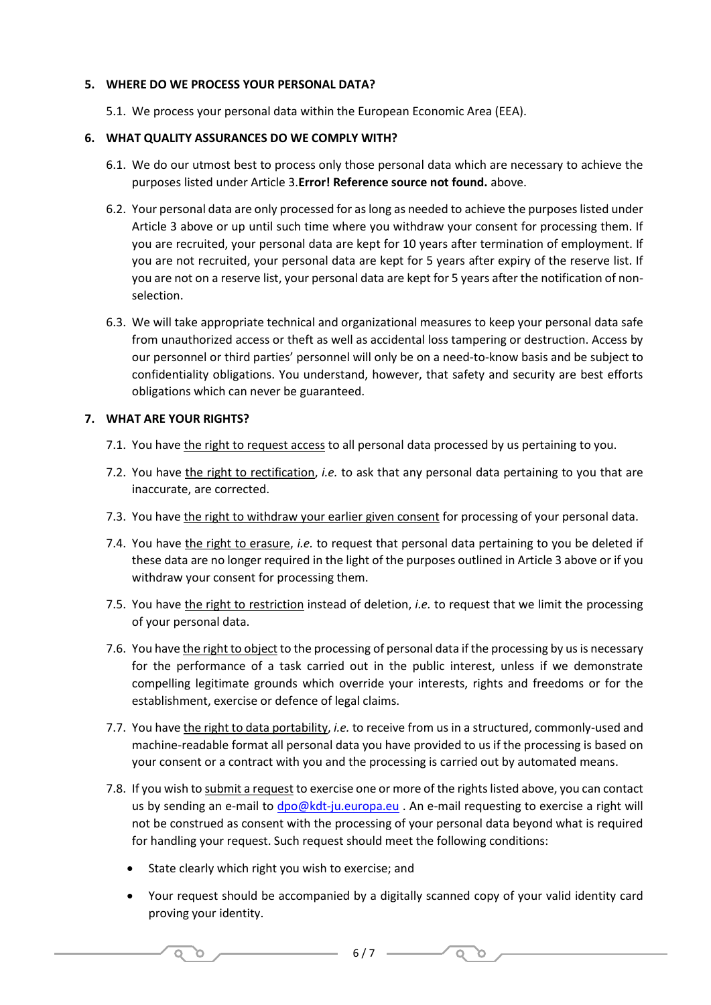# **5. WHERE DO WE PROCESS YOUR PERSONAL DATA?**

5.1. We process your personal data within the European Economic Area (EEA).

## **6. WHAT QUALITY ASSURANCES DO WE COMPLY WITH?**

- 6.1. We do our utmost best to process only those personal data which are necessary to achieve the purposes listed under Article 3.**Error! Reference source not found.** above.
- 6.2. Your personal data are only processed for as long as needed to achieve the purposes listed under Article 3 above or up until such time where you withdraw your consent for processing them. If you are recruited, your personal data are kept for 10 years after termination of employment. If you are not recruited, your personal data are kept for 5 years after expiry of the reserve list. If you are not on a reserve list, your personal data are kept for 5 years after the notification of nonselection.
- 6.3. We will take appropriate technical and organizational measures to keep your personal data safe from unauthorized access or theft as well as accidental loss tampering or destruction. Access by our personnel or third parties' personnel will only be on a need-to-know basis and be subject to confidentiality obligations. You understand, however, that safety and security are best efforts obligations which can never be guaranteed.

## **7. WHAT ARE YOUR RIGHTS?**

- 7.1. You have the right to request access to all personal data processed by us pertaining to you.
- 7.2. You have the right to rectification, *i.e.* to ask that any personal data pertaining to you that are inaccurate, are corrected.
- 7.3. You have the right to withdraw your earlier given consent for processing of your personal data.
- 7.4. You have the right to erasure, *i.e.* to request that personal data pertaining to you be deleted if these data are no longer required in the light of the purposes outlined in Article 3 above or if you withdraw your consent for processing them.
- 7.5. You have the right to restriction instead of deletion, *i.e.* to request that we limit the processing of your personal data.
- 7.6. You have the right to object to the processing of personal data if the processing by us is necessary for the performance of a task carried out in the public interest, unless if we demonstrate compelling legitimate grounds which override your interests, rights and freedoms or for the establishment, exercise or defence of legal claims.
- 7.7. You have the right to data portability, *i.e.* to receive from us in a structured, commonly-used and machine-readable format all personal data you have provided to us if the processing is based on your consent or a contract with you and the processing is carried out by automated means.
- 7.8. If you wish to submit a request to exercise one or more of the rights listed above, you can contact us by sending an e-mail to [dpo@kdt-ju.europa.eu](mailto:dpo@kdt-ju.europa.eu) . An e-mail requesting to exercise a right will not be construed as consent with the processing of your personal data beyond what is required for handling your request. Such request should meet the following conditions:
	- State clearly which right you wish to exercise; and

 $\overline{\mathsf{Q}}$ 

ີດ

• Your request should be accompanied by a digitally scanned copy of your valid identity card proving your identity.

 $Q$